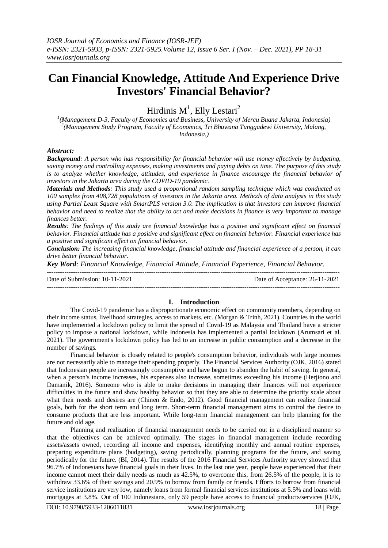# **Can Financial Knowledge, Attitude And Experience Drive Investors' Financial Behavior?**

Hirdinis  $M<sup>1</sup>$ , Elly Lestari<sup>2</sup>

*1 (Management D-3, Faculty of Economics and Business, University of Mercu Buana Jakarta, Indonesia) 2 (Management Study Program, Faculty of Economics, Tri Bhuwana Tunggadewi University, Malang, Indonesia,)*

# *Abstract:*

*Background: A person who has responsibility for financial behavior will use money effectively by budgeting, saving money and controlling expenses, making investments and paying debts on time. The purpose of this study is to analyze whether knowledge, attitudes, and experience in finance encourage the financial behavior of investors in the Jakarta area during the COVID-19 pandemic.*

*Materials and Methods: This study used a proportional random sampling technique which was conducted on 100 samples from 408,728 populations of investors in the Jakarta area. Methods of data analysis in this study using Partial Least Square with SmartPLS version 3.0. The implication is that investors can improve financial behavior and need to realize that the ability to act and make decisions in finance is very important to manage finances better.*

*Results: The findings of this study are financial knowledge has a positive and significant effect on financial behavior. Financial attitude has a positive and significant effect on financial behavior. Financial experience has a positive and significant effect on financial behavior.*

*Conclusion: The increasing financial knowledge, financial attitude and financial experience of a person, it can drive better financial behavior.*

*Key Word: Financial Knowledge, Financial Attitude, Financial Experience, Financial Behavior.*

--------------------------------------------------------------------------------------------------------------------------------------- Date of Submission: 10-11-2021 Date of Acceptance: 26-11-2021 ---------------------------------------------------------------------------------------------------------------------------------------

# **I. Introduction**

The Covid-19 pandemic has a disproportionate economic effect on community members, depending on their income status, livelihood strategies, access to markets, etc. (Morgan & Trinh, 2021). Countries in the world have implemented a lockdown policy to limit the spread of Covid-19 as Malaysia and Thailand have a stricter policy to impose a national lockdown, while Indonesia has implemented a partial lockdown (Arumsari et al. 2021). The government's lockdown policy has led to an increase in public consumption and a decrease in the number of savings.

Financial behavior is closely related to people's consumption behavior, individuals with large incomes are not necessarily able to manage their spending properly. The Financial Services Authority (OJK, 2016) stated that Indonesian people are increasingly consumptive and have begun to abandon the habit of saving. In general, when a person's income increases, his expenses also increase, sometimes exceeding his income (Herjiono and Damanik, 2016). Someone who is able to make decisions in managing their finances will not experience difficulties in the future and show healthy behavior so that they are able to determine the priority scale about what their needs and desires are (Chinen & Endo, 2012). Good financial management can realize financial goals, both for the short term and long term. Short-term financial management aims to control the desire to consume products that are less important. While long-term financial management can help planning for the future and old age.

Planning and realization of financial management needs to be carried out in a disciplined manner so that the objectives can be achieved optimally. The stages in financial management include recording assets/assets owned, recording all income and expenses, identifying monthly and annual routine expenses, preparing expenditure plans (budgeting), saving periodically, planning programs for the future, and saving periodically for the future. (BI, 2014). The results of the 2016 Financial Services Authority survey showed that 96.7% of Indonesians have financial goals in their lives. In the last one year, people have experienced that their income cannot meet their daily needs as much as 42.5%, to overcome this, from 26.5% of the people, it is to withdraw 33.6% of their savings and 20.9% to borrow from family or friends. Efforts to borrow from financial service institutions are very low, namely loans from formal financial services institutions at 5.5% and loans with mortgages at 3.8%. Out of 100 Indonesians, only 59 people have access to financial products/services (OJK,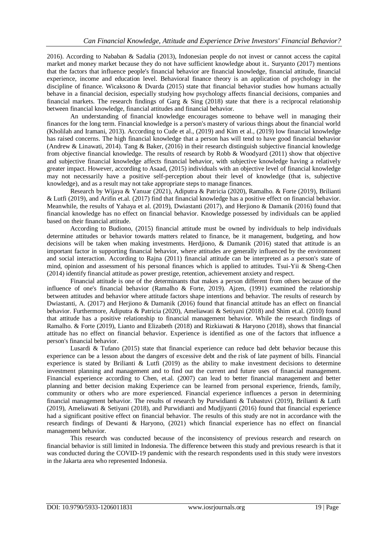2016). According to Nababan & Sadalia (2013), Indonesian people do not invest or cannot access the capital market and money market because they do not have sufficient knowledge about it.. Suryanto (2017) mentions that the factors that influence people's financial behavior are financial knowledge, financial attitude, financial experience, income and education level. Behavioral finance theory is an application of psychology in the discipline of finance. Wicaksono & Dvarda (2015) state that financial behavior studies how humans actually behave in a financial decision, especially studying how psychology affects financial decisions, companies and financial markets. The research findings of Garg  $\&$  Sing (2018) state that there is a reciprocal relationship between financial knowledge, financial attitudes and financial behavior.

An understanding of financial knowledge encourages someone to behave well in managing their finances for the long term. Financial knowledge is a person's mastery of various things about the financial world (Kholilah and Iramani, 2013). According to Cude et al., (2019) and Kim et al., (2019) low financial knowledge has raised concerns. The high financial knowledge that a person has will tend to have good financial behavior (Andrew & Linawati, 2014). Tang & Baker, (2016) in their research distinguish subjective financial knowledge from objective financial knowledge. The results of research by Robb & Woodyard (2011) show that objective and subjective financial knowledge affects financial behavior, with subjective knowledge having a relatively greater impact. However, according to Asaad, (2015) individuals with an objective level of financial knowledge may not necessarily have a positive self-perception about their level of knowledge (that is, subjective knowledge), and as a result may not take appropriate steps to manage finances.

Research by Wijaya & Yanuar (2021), Adiputra & Patricia (2020), Ramalho. & Forte (2019), Brilianti & Lutfi (2019), and Arifin et.al. (2017) find that financial knowledge has a positive effect on financial behavior. Meanwhile, the results of Yahaya et al. (2019), Dwiastanti (2017), and Herjiono & Damanik (2016) found that financial knowledge has no effect on financial behavior. Knowledge possessed by individuals can be applied based on their financial attitude.

According to Budiono, (2015) financial attitude must be owned by individuals to help individuals determine attitudes or behavior towards matters related to finance, be it management, budgeting, and how decisions will be taken when making investments. Herdjiono, & Damanik (2016) stated that attitude is an important factor in supporting financial behavior, where attitudes are generally influenced by the environment and social interaction. According to Rajna (2011) financial attitude can be interpreted as a person's state of mind, opinion and assessment of his personal finances which is applied to attitudes. Tsui-Yii & Sheng-Chen (2014) identify financial attitude as power prestige, retention, achievement anxiety and respect.

Financial attitude is one of the determinants that makes a person different from others because of the influence of one's financial behavior (Ramalho & Forte, 2019). Ajzen, (1991) examined the relationship between attitudes and behavior where attitude factors shape intentions and behavior. The results of research by Dwiastanti, A. (2017) and Herjiono & Damanik (2016) found that financial attitude has an effect on financial behavior. Furthermore, Adiputra & Patricia (2020), Ameliawati & Setiyani (2018) and Shim et.al. (2010) found that attitude has a positive relationship to financial management behavior. While the research findings of Ramalho. & Forte (2019), Lianto and Elizabeth (2018) and Rizkiawati & Haryono (2018), shows that financial attitude has no effect on financial behavior. Experience is identified as one of the factors that influence a person's financial behavior.

Lusardi & Tufano (2015) state that financial experience can reduce bad debt behavior because this experience can be a lesson about the dangers of excessive debt and the risk of late payment of bills. Financial experience is stated by Brilianti & Lutfi (2019) as the ability to make investment decisions to determine investment planning and management and to find out the current and future uses of financial management. Financial experience according to Chen, et.al. (2007) can lead to better financial management and better planning and better decision making Experience can be learned from personal experience, friends, family, community or others who are more experienced. Financial experience influences a person in determining financial management behavior. The results of research by Purwidianti & Tubastuvi (2019), Brilianti & Lutfi (2019), Ameliawati & Setiyani (2018), and Purwidianti and Mudjiyanti (2016) found that financial experience had a significant positive effect on financial behavior. The results of this study are not in accordance with the research findings of Dewanti & Haryono, (2021) which financial experience has no effect on financial management behavior.

This research was conducted because of the inconsistency of previous research and research on financial behavior is still limited in Indonesia. The difference between this study and previous research is that it was conducted during the COVID-19 pandemic with the research respondents used in this study were investors in the Jakarta area who represented Indonesia.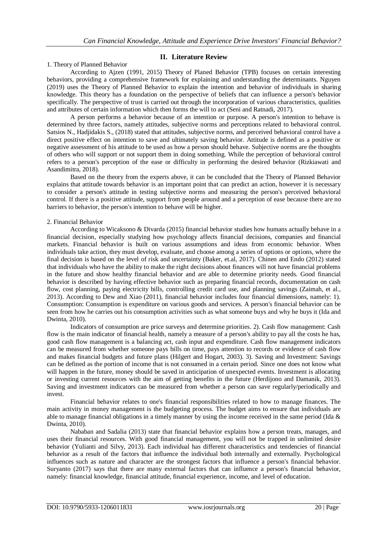## **II. Literature Review**

#### 1. Theory of Planned Behavior

According to Ajzen (1991, 2015) Theory of Planed Behavior (TPB) focuses on certain interesting behaviors, providing a comprehensive framework for explaining and understanding the determinants. Nguyen (2019) uses the Theory of Planned Behavior to explain the intention and behavior of individuals in sharing knowledge. This theory has a foundation on the perspective of beliefs that can influence a person's behavior specifically. The perspective of trust is carried out through the incorporation of various characteristics, qualities and attributes of certain information which then forms the will to act (Seni and Ratnadi, 2017).

A person performs a behavior because of an intention or purpose. A person's intention to behave is determined by three factors, namely attitudes, subjective norms and perceptions related to behavioral control. Satsios N., Hadjidakis S., (2018) stated that attitudes, subjective norms, and perceived behavioral control have a direct positive effect on intention to save and ultimately saving behavior. Attitude is defined as a positive or negative assessment of his attitude to be used as how a person should behave. Subjective norms are the thoughts of others who will support or not support them in doing something. While the perception of behavioral control refers to a person's perception of the ease or difficulty in performing the desired behavior (Rizkiawati and Asandimitra, 2018).

Based on the theory from the experts above, it can be concluded that the Theory of Planned Behavior explains that attitude towards behavior is an important point that can predict an action, however it is necessary to consider a person's attitude in testing subjective norms and measuring the person's perceived behavioral control. If there is a positive attitude, support from people around and a perception of ease because there are no barriers to behavior, the person's intention to behave will be higher.

#### 2. Financial Behavior

According to Wicaksono & Divarda (2015) financial behavior studies how humans actually behave in a financial decision, especially studying how psychology affects financial decisions, companies and financial markets. Financial behavior is built on various assumptions and ideas from economic behavior. When individuals take action, they must develop, evaluate, and choose among a series of options or options, where the final decision is based on the level of risk and uncertainty (Baker, et.al, 2017). Chinen and Endo (2012) stated that individuals who have the ability to make the right decisions about finances will not have financial problems in the future and show healthy financial behavior and are able to determine priority needs. Good financial behavior is described by having effective behavior such as preparing financial records, documentation on cash flow, cost planning, paying electricity bills, controlling credit card use, and planning savings (Zaimah, et al., 2013). According to Dew and Xiao (2011), financial behavior includes four financial dimensions, namely: 1). Consumption: Consumption is expenditure on various goods and services. A person's financial behavior can be seen from how he carries out his consumption activities such as what someone buys and why he buys it (Ida and Dwinta, 2010).

Indicators of consumption are price surveys and determine priorities. 2). Cash flow management: Cash flow is the main indicator of financial health, namely a measure of a person's ability to pay all the costs he has, good cash flow management is a balancing act, cash input and expenditure. Cash flow management indicators can be measured from whether someone pays bills on time, pays attention to records or evidence of cash flow and makes financial budgets and future plans (Hilgert and Hogart, 2003). 3). Saving and Investment: Savings can be defined as the portion of income that is not consumed in a certain period. Since one does not know what will happen in the future, money should be saved in anticipation of unexpected events. Investment is allocating or investing current resources with the aim of getting benefits in the future (Herdijono and Damanik, 2013). Saving and investment indicators can be measured from whether a person can save regularly/periodically and invest.

Financial behavior relates to one's financial responsibilities related to how to manage finances. The main activity in money management is the budgeting process. The budget aims to ensure that individuals are able to manage financial obligations in a timely manner by using the income received in the same period (Ida & Dwinta, 2010).

Nababan and Sadalia (2013) state that financial behavior explains how a person treats, manages, and uses their financial resources. With good financial management, you will not be trapped in unlimited desire behavior (Yulianti and Silvy, 2013). Each individual has different characteristics and tendencies of financial behavior as a result of the factors that influence the individual both internally and externally. Psychological influences such as nature and character are the strongest factors that influence a person's financial behavior. Suryanto (2017) says that there are many external factors that can influence a person's financial behavior, namely: financial knowledge, financial attitude, financial experience, income, and level of education.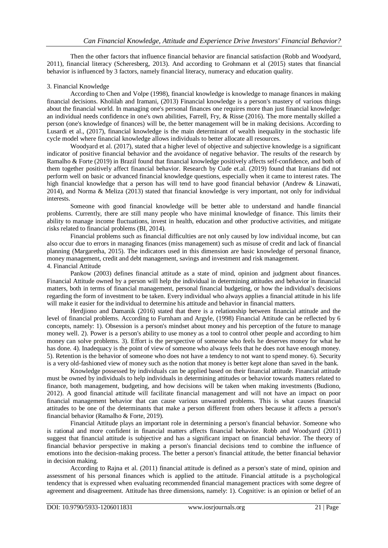Then the other factors that influence financial behavior are financial satisfaction (Robb and Woodyard, 2011), financial literacy (Scheresberg, 2013). And according to Grohmann et al (2015) states that financial behavior is influenced by 3 factors, namely financial literacy, numeracy and education quality.

# 3. Financial Knowledge

According to Chen and Volpe (1998), financial knowledge is knowledge to manage finances in making financial decisions. Kholilah and Iramani, (2013) Financial knowledge is a person's mastery of various things about the financial world. In managing one's personal finances one requires more than just financial knowledge: an individual needs confidence in one's own abilities, Farrell, Fry, & Risse (2016). The more mentally skilled a person (one's knowledge of finances) will be, the better management will be in making decisions. According to Lusardi et al., (2017), financial knowledge is the main determinant of wealth inequality in the stochastic life cycle model where financial knowledge allows individuals to better allocate all resources.

Woodyard et al. (2017), stated that a higher level of objective and subjective knowledge is a significant indicator of positive financial behavior and the avoidance of negative behavior. The results of the research by Ramalho & Forte (2019) in Brazil found that financial knowledge positively affects self-confidence, and both of them together positively affect financial behavior. Research by Cude et.al. (2019) found that Iranians did not perform well on basic or advanced financial knowledge questions, especially when it came to interest rates. The high financial knowledge that a person has will tend to have good financial behavior (Andrew & Linawati, 2014), and Norma & Meliza (2013) stated that financial knowledge is very important, not only for individual interests.

Someone with good financial knowledge will be better able to understand and handle financial problems. Currently, there are still many people who have minimal knowledge of finance. This limits their ability to manage income fluctuations, invest in health, education and other productive activities, and mitigate risks related to financial problems (BI, 2014).

Financial problems such as financial difficulties are not only caused by low individual income, but can also occur due to errors in managing finances (miss management) such as misuse of credit and lack of financial planning (Margaretha, 2015). The indicators used in this dimension are basic knowledge of personal finance, money management, credit and debt management, savings and investment and risk management.

### 4. Financial Attitude

Pankow (2003) defines financial attitude as a state of mind, opinion and judgment about finances. Financial Attitude owned by a person will help the individual in determining attitudes and behavior in financial matters, both in terms of financial management, personal financial budgeting, or how the individual's decisions regarding the form of investment to be taken. Every individual who always applies a financial attitude in his life will make it easier for the individual to determine his attitude and behavior in financial matters.

Herdjiono and Damanik (2016) stated that there is a relationship between financial attitude and the level of financial problems. According to Furnham and Argyle, (1998) Financial Attitude can be reflected by 6 concepts, namely: 1). Obsession is a person's mindset about money and his perception of the future to manage money well. 2). Power is a person's ability to use money as a tool to control other people and according to him money can solve problems. 3). Effort is the perspective of someone who feels he deserves money for what he has done. 4). Inadequacy is the point of view of someone who always feels that he does not have enough money. 5). Retention is the behavior of someone who does not have a tendency to not want to spend money. 6). Security is a very old-fashioned view of money such as the notion that money is better kept alone than saved in the bank.

Knowledge possessed by individuals can be applied based on their financial attitude. Financial attitude must be owned by individuals to help individuals in determining attitudes or behavior towards matters related to finance, both management, budgeting, and how decisions will be taken when making investments (Budiono, 2012). A good financial attitude will facilitate financial management and will not have an impact on poor financial management behavior that can cause various unwanted problems. This is what causes financial attitudes to be one of the determinants that make a person different from others because it affects a person's financial behavior (Ramalho & Forte, 2019).

Financial Attitude plays an important role in determining a person's financial behavior. Someone who is rational and more confident in financial matters affects financial behavior. Robb and Woodyard (2011) suggest that financial attitude is subjective and has a significant impact on financial behavior. The theory of financial behavior perspective in making a person's financial decisions tend to combine the influence of emotions into the decision-making process. The better a person's financial attitude, the better financial behavior in decision making.

According to Rajna et al. (2011) financial attitude is defined as a person's state of mind, opinion and assessment of his personal finances which is applied to the attitude. Financial attitude is a psychological tendency that is expressed when evaluating recommended financial management practices with some degree of agreement and disagreement. Attitude has three dimensions, namely: 1). Cognitive: is an opinion or belief of an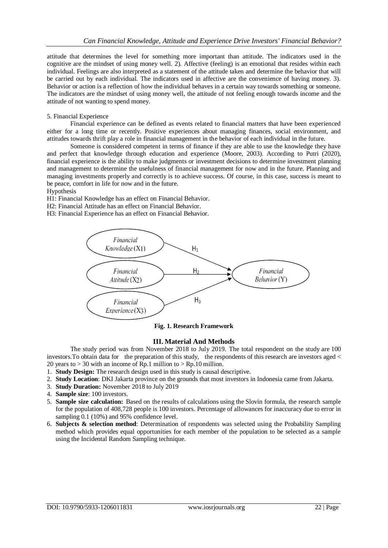attitude that determines the level for something more important than attitude. The indicators used in the cognitive are the mindset of using money well. 2). Affective (feeling) is an emotional that resides within each individual. Feelings are also interpreted as a statement of the attitude taken and determine the behavior that will be carried out by each individual. The indicators used in affective are the convenience of having money. 3). Behavior or action is a reflection of how the individual behaves in a certain way towards something or someone. The indicators are the mindset of using money well, the attitude of not feeling enough towards income and the attitude of not wanting to spend money.

#### 5. Financial Experience

Financial experience can be defined as events related to financial matters that have been experienced either for a long time or recently. Positive experiences about managing finances, social environment, and attitudes towards thrift play a role in financial management in the behavior of each individual in the future.

Someone is considered competent in terms of finance if they are able to use the knowledge they have and perfect that knowledge through education and experience (Moore, 2003). According to Putri (2020), financial experience is the ability to make judgments or investment decisions to determine investment planning and management to determine the usefulness of financial management for now and in the future. Planning and managing investments properly and correctly is to achieve success. Of course, in this case, success is meant to be peace, comfort in life for now and in the future.

## Hypothesis

H1: Financial Knowledge has an effect on Financial Behavior.

- H2: Financial Attitude has an effect on Financial Behavior.
- H3: Financial Experience has an effect on Financial Behavior.



**Fig. 1. Research Framework**

#### **III. Material And Methods**

The study period was from November 2018 to July 2019. The total respondent on the study are 100 investors.To obtain data for the preparation of this study, the respondents of this research are investors aged < 20 years to  $> 30$  with an income of Rp.1 million to  $>$  Rp.10 million.

1. **Study Design:** The research design used in this study is causal descriptive.

- 2. **Study Location**: DKI Jakarta province on the grounds that most investors in Indonesia came from Jakarta.
- 3. **Study Duration:** November 2018 to July 2019
- 4. **Sample size**: 100 investors.
- 5. **Sample size calculation:** Based on the results of calculations using the Slovin formula, the research sample for the population of 408,728 people is 100 investors. Percentage of allowances for inaccuracy due to error in sampling 0.1 (10%) and 95% confidence level.
- 6. **Subjects & selection method**: Determination of respondents was selected using the Probability Sampling method which provides equal opportunities for each member of the population to be selected as a sample using the Incidental Random Sampling technique.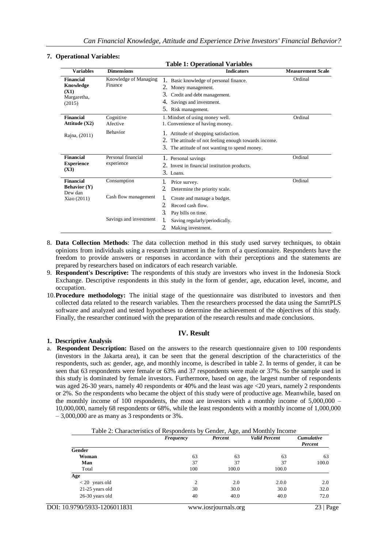#### **7. Operational Variables:**

| рсгаатнаг тагшилсэ.                                            |                                  | <b>Table 1: Operational Variables</b>                                                                                                                                 |                          |
|----------------------------------------------------------------|----------------------------------|-----------------------------------------------------------------------------------------------------------------------------------------------------------------------|--------------------------|
| <b>Variables</b>                                               | <b>Dimensions</b>                | <b>Indicators</b>                                                                                                                                                     | <b>Measurement Scale</b> |
| <b>Financial</b><br>Knowledge<br>(X1)<br>Margaretha,<br>(2015) | Knowledge of Managing<br>Finance | Basic knowledge of personal finance.<br>1.<br>2.<br>Money management.<br>3.<br>Credit and debt management.<br>Savings and investment.<br>4.<br>5.<br>Risk management. | Ordinal                  |
| <b>Financial</b><br>Attitude $(X2)$                            | Cognitive<br>Afective            | 1. Mindset of using money well.<br>1. Convenience of having money.                                                                                                    | Ordinal                  |
| Rajna, (2011)                                                  | <b>Behavior</b>                  | 1. Attitude of shopping satisfaction.<br>2. The attitude of not feeling enough towards income.<br>3.<br>The attitude of not wanting to spend money.                   |                          |
| <b>Financial</b><br><b>Experience</b><br>(X3)                  | Personal financial<br>experience | 1. Personal savings<br>2. Invest in financial institution products.<br>3. Loans.                                                                                      | Ordinal                  |
| <b>Financial</b><br><b>Behavior (Y)</b><br>Dew dan             | Consumption                      | 1.<br>Price survey.<br>2<br>Determine the priority scale.                                                                                                             | Ordinal                  |
| Xiao (2011)                                                    | Cash flow management             | 1.<br>Create and manage a budget.<br>2<br>Record cash flow.<br>3.<br>Pay bills on time.                                                                               |                          |
|                                                                | Savings and investment           | 1.<br>Saving regularly/periodically.<br>2<br>Making investment.                                                                                                       |                          |

- 8. **Data Collection Methods**: The data collection method in this study used survey techniques, to obtain opinions from individuals using a research instrument in the form of a questionnaire. Respondents have the freedom to provide answers or responses in accordance with their perceptions and the statements are prepared by researchers based on indicators of each research variable.
- 9. **Respondent's Descriptive:** The respondents of this study are investors who invest in the Indonesia Stock Exchange. Descriptive respondents in this study in the form of gender, age, education level, income, and occupation.
- 10.**Procedure methodology:** The initial stage of the questionnaire was distributed to investors and then collected data related to the research variables. Then the researchers processed the data using the SamrtPLS software and analyzed and tested hypotheses to determine the achievement of the objectives of this study. Finally, the researcher continued with the preparation of the research results and made conclusions.

#### **IV. Result**

#### **1. Descriptive Analysis**

a. **Respondent Description:** Based on the answers to the research questionnaire given to 100 respondents (investors in the Jakarta area), it can be seen that the general description of the characteristics of the respondents, such as: gender, age, and monthly income, is described in table 2. In terms of gender, it can be seen that 63 respondents were female or 63% and 37 respondents were male or 37%. So the sample used in this study is dominated by female investors. Furthermore, based on age, the largest number of respondents was aged 26-30 years, namely 40 respondents or 40% and the least was age <20 years, namely 2 respondents or 2%. So the respondents who became the object of this study were of productive age. Meanwhile, based on the monthly income of 100 respondents, the most are investors with a monthly income of 5,000,000 – 10,000,000, namely 68 respondents or 68%, while the least respondents with a monthly income of 1,000,000  $-3,000,000$  are as many as 3 respondents or 3%.

|                   | Frequency | Percent | <b>Valid Percent</b> | <b>Cumulative</b><br>Percent |
|-------------------|-----------|---------|----------------------|------------------------------|
| Gender            |           |         |                      |                              |
| Woman             | 63        | 63      | 63                   | 63                           |
| Man               | 37        | 37      | 37                   | 100.0                        |
| Total             | 100       | 100.0   | 100.0                |                              |
| Age               |           |         |                      |                              |
| $< 20$ years old  | 2         | 2.0     | 2.0.0                | 2.0                          |
| $21-25$ years old | 30        | 30.0    | 30.0                 | 32.0                         |
| 26-30 years old   | 40        | 40.0    | 40.0                 | 72.0                         |

| Table 2: Characteristics of Respondents by Gender, Age, and Monthly Income |  |  |  |  |
|----------------------------------------------------------------------------|--|--|--|--|
|                                                                            |  |  |  |  |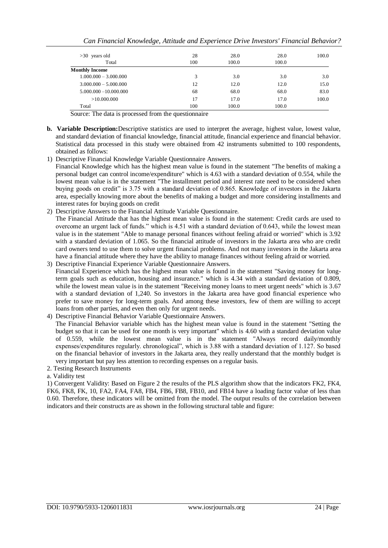| $>30$ years old          | 28  | 28.0  | 28.0  | 100.0 |
|--------------------------|-----|-------|-------|-------|
| Total                    | 100 | 100.0 | 100.0 |       |
| <b>Monthly Income</b>    |     |       |       |       |
| $1.000.000 - 3.000.000$  | 3   | 3.0   | 3.0   | 3.0   |
| $3.000.000 - 5.000.000$  | 12  | 12.0  | 12.0  | 15.0  |
| $5.000.000 - 10.000.000$ | 68  | 68.0  | 68.0  | 83.0  |
| >10.000.000              | 17  | 17.0  | 17.0  | 100.0 |
| Total                    | 100 | 100.0 | 100.0 |       |

Source: The data is processed from the questionnaire

- **b. Variable Description:**Descriptive statistics are used to interpret the average, highest value, lowest value, and standard deviation of financial knowledge, financial attitude, financial experience and financial behavior. Statistical data processed in this study were obtained from 42 instruments submitted to 100 respondents, obtained as follows:
- 1) Descriptive Financial Knowledge Variable Questionnaire Answers. Financial Knowledge which has the highest mean value is found in the statement "The benefits of making a personal budget can control income/expenditure" which is 4.63 with a standard deviation of 0.554, while the lowest mean value is in the statement "The installment period and interest rate need to be considered when buying goods on credit" is 3.75 with a standard deviation of 0.865. Knowledge of investors in the Jakarta area, especially knowing more about the benefits of making a budget and more considering installments and interest rates for buying goods on credit
- 2) Descriptive Answers to the Financial Attitude Variable Questionnaire. The Financial Attitude that has the highest mean value is found in the statement: Credit cards are used to overcome an urgent lack of funds." which is 4.51 with a standard deviation of 0.643, while the lowest mean value is in the statement "Able to manage personal finances without feeling afraid or worried" which is 3.92 with a standard deviation of 1.065. So the financial attitude of investors in the Jakarta area who are credit card owners tend to use them to solve urgent financial problems. And not many investors in the Jakarta area have a financial attitude where they have the ability to manage finances without feeling afraid or worried.
- 3) Descriptive Financial Experience Variable Questionnaire Answers. Financial Experience which has the highest mean value is found in the statement "Saving money for longterm goals such as education, housing and insurance." which is 4.34 with a standard deviation of 0.809, while the lowest mean value is in the statement "Receiving money loans to meet urgent needs" which is 3.67 with a standard deviation of 1,240. So investors in the Jakarta area have good financial experience who prefer to save money for long-term goals. And among these investors, few of them are willing to accept loans from other parties, and even then only for urgent needs.
- 4) Descriptive Financial Behavior Variable Questionnaire Answers.

The Financial Behavior variable which has the highest mean value is found in the statement "Setting the budget so that it can be used for one month is very important" which is 4.60 with a standard deviation value of 0.559, while the lowest mean value is in the statement "Always record daily/monthly expenses/expenditures regularly. chronological", which is 3.88 with a standard deviation of 1.127. So based on the financial behavior of investors in the Jakarta area, they really understand that the monthly budget is very important but pay less attention to recording expenses on a regular basis.

2. Testing Research Instruments

# a. Validity test

1) Convergent Validity: Based on Figure 2 the results of the PLS algorithm show that the indicators FK2, FK4, FK6, FK8, FK, 10, FA2, FA4, FA8, FB4, FB6, FB8, FB10, and FB14 have a loading factor value of less than 0.60. Therefore, these indicators will be omitted from the model. The output results of the correlation between indicators and their constructs are as shown in the following structural table and figure: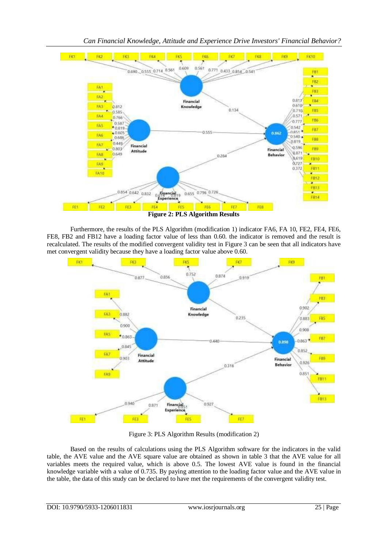

*Can Financial Knowledge, Attitude and Experience Drive Investors' Financial Behavior?*

Furthermore, the results of the PLS Algorithm (modification 1) indicator FA6, FA 10, FE2, FE4, FE6, FE8, FB2 and FB12 have a loading factor value of less than 0.60. the indicator is removed and the result is recalculated. The results of the modified convergent validity test in Figure 3 can be seen that all indicators have met convergent validity because they have a loading factor value above 0.60.



Figure 3: PLS Algorithm Results (modification 2)

Based on the results of calculations using the PLS Algorithm software for the indicators in the valid table, the AVE value and the AVE square value are obtained as shown in table 3 that the AVE value for all variables meets the required value, which is above 0.5. The lowest AVE value is found in the financial knowledge variable with a value of 0.735. By paying attention to the loading factor value and the AVE value in the table, the data of this study can be declared to have met the requirements of the convergent validity test.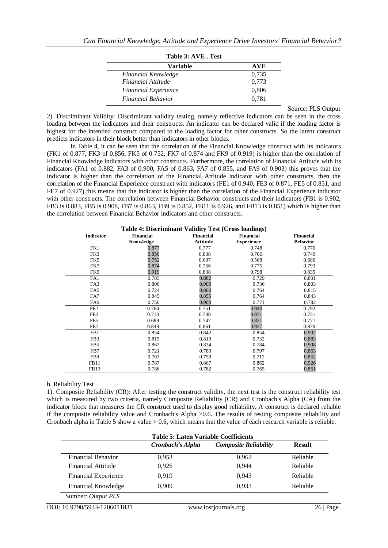| тане э. Ауе . тем           |            |
|-----------------------------|------------|
| Variable                    | <b>AVE</b> |
| <b>Financial Knowledge</b>  | 0.735      |
| Financial Attitude          | 0.773      |
| <b>Financial Experience</b> | 0,806      |
| <b>Financial Behavior</b>   | 0.781      |

**Table 3: AVE . Test**

Source: PLS Output

2). Discriminant Validity: Discriminant validity testing, namely reflective indicators can be seen in the cross loading between the indicators and their constructs. An indicator can be declared valid if the loading factor is highest for the intended construct compared to the loading factor for other constructs. So the latent construct predicts indicators in their block better than indicators in other blocks.

In Table 4, it can be seen that the correlation of the Financial Knowledge construct with its indicators (FK1 of 0.877, FK3 of 0.856, FK5 of 0.752, FK7 of 0.874 and FK9 of 0.919) is higher than the correlation of Financial Knowledge indicators with other constructs. Furthermore, the correlation of Financial Attitude with its indicators (FA1 of 0.882, FA3 of 0.900, FA5 of 0.863, FA7 of 0.855, and FA9 of 0.903) this proves that the indicator is higher than the correlation of the Financial Attitude indicator with other constructs, then the correlation of the Financial Experience construct with indicators (FE1 of 0.940, FE3 of 0.871, FE5 of 0.851, and FE7 of 0.927) this means that the indicator is higher than the correlation of the Financial Experience indicator with other constructs. The correlation between Financial Behavior constructs and their indicators (FB1 is 0.902, FB3 is 0.883, FB5 is 0.908, FB7 is 0.863, FB9 is 0.852, FB11 is 0.926, and FB13 is 0.851) which is higher than the correlation between Financial Behavior indicators and other constructs.

| Table 4: Discriminant Validity Test (Cross loadings) |                  |                  |                   |                 |  |  |  |
|------------------------------------------------------|------------------|------------------|-------------------|-----------------|--|--|--|
| <b>Indicator</b>                                     | <b>Financial</b> | <b>Financial</b> | <b>Financial</b>  | Financial       |  |  |  |
|                                                      | Knowledge        | Attitude         | <b>Experience</b> | <b>Behavior</b> |  |  |  |
| FK1                                                  | 0.877            | 0.777            | 0.748             | 0.770           |  |  |  |
| FK3                                                  | 0.856            | 0.838            | 0.706             | 0.749           |  |  |  |
| FK5                                                  | 0.752            | 0.607            | 0.568             | 0.680           |  |  |  |
| FK7                                                  | 0.874            | 0.756            | 0.775             | 0.793           |  |  |  |
| FK9                                                  | 0.919            | 0.838            | 0.798             | 0.835           |  |  |  |
| FA1                                                  | 0.785            | 0.882            | 0.729             | 0.801           |  |  |  |
| FA3                                                  | 0.806            | 0.900            | 0.736             | 0.803           |  |  |  |
| FA5                                                  | 0.724            | 0.863            | 0.764             | 0.815           |  |  |  |
| FA7                                                  | 0.845            | 0.855            | 0.764             | 0.843           |  |  |  |
| FA9                                                  | 0.750            | 0.903            | 0.771             | 0.782           |  |  |  |
| FE1                                                  | 0.764            | 0.751            | 0.940             | 0.792           |  |  |  |
| FE3                                                  | 0.713            | 0.708            | 0.871             | 0.751           |  |  |  |
| FE5                                                  | 0.689            | 0.747            | 0.851             | 0.771           |  |  |  |
| FE7                                                  | 0.849            | 0.861            | 0.927             | 0.879           |  |  |  |
| FB1                                                  | 0.854            | 0.842            | 0.854             | 0.902           |  |  |  |
| FB <sub>3</sub>                                      | 0.815            | 0.819            | 0.732             | 0.883           |  |  |  |
| FB <sub>5</sub>                                      | 0.862            | 0.834            | 0.784             | 0.908           |  |  |  |
| FB7                                                  | 0.721            | 0.789            | 0.797             | 0.863           |  |  |  |
| FB9                                                  | 0.703            | 0.759            | 0.712             | 0.852           |  |  |  |
| FB11                                                 | 0.787            | 0.867            | 0.862             | 0.926           |  |  |  |
| FB <sub>13</sub>                                     | 0.786            | 0.782            | 0.765             | 0.851           |  |  |  |

**Table 4: Discriminant Validity Test (Cross loadings)**

b. Reliability Test

1). Composite Reliability (CR): After testing the construct validity, the next test is the construct reliability test which is measured by two criteria, namely Composite Reliability (CR) and Cronbach's Alpha (CA) from the indicator block that measures the CR construct used to display good reliability. A construct is declared reliable if the composite reliability value and Cronbach's Alpha >0.6. The results of testing composite reliability and Cronbach alpha in Table 5 show a value  $> 0.6$ , which means that the value of each research variable is reliable.

|                              | <b>Table 5: Laten Variable Coefficients</b> |                              |               |  |  |
|------------------------------|---------------------------------------------|------------------------------|---------------|--|--|
|                              | Cronbach's Alpha                            | <b>Composite Reliability</b> | <b>Result</b> |  |  |
| Financial Behavior           | 0.953                                       | 0.962                        | Reliable      |  |  |
| Financial Attitude           | 0,926                                       | 0.944                        | Reliable      |  |  |
| Financial Experience         | 0,919                                       | 0.943                        | Reliable      |  |  |
| Financial Knowledge          | 0.909                                       | 0.933                        | Reliable      |  |  |
| Sumber: Output PLS           |                                             |                              |               |  |  |
| DOI: 10.9790/5933-1206011831 |                                             | www.iosrjournals.org         | $26$   Page   |  |  |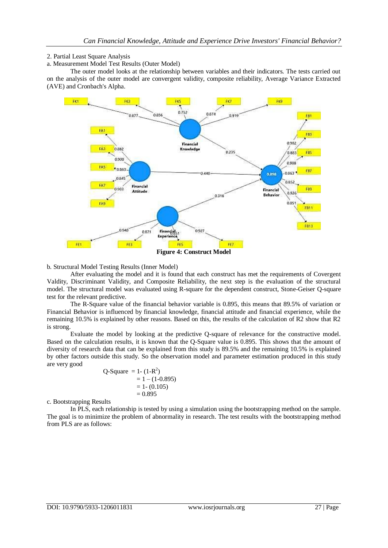## 2. Partial Least Square Analysis

a. Measurement Model Test Results (Outer Model)

The outer model looks at the relationship between variables and their indicators. The tests carried out on the analysis of the outer model are convergent validity, composite reliability, Average Variance Extracted (AVE) and Cronbach's Alpha.



b. Structural Model Testing Results (Inner Model)

After evaluating the model and it is found that each construct has met the requirements of Covergent Valdity, Discriminant Validity, and Composite Reliability, the next step is the evaluation of the structural model. The structural model was evaluated using R-square for the dependent construct, Stone-Geiser Q-square test for the relevant predictive.

The R-Square value of the financial behavior variable is 0.895, this means that 89.5% of variation or Financial Behavior is influenced by financial knowledge, financial attitude and financial experience, while the remaining 10.5% is explained by other reasons. Based on this, the results of the calculation of R2 show that R2 is strong.

Evaluate the model by looking at the predictive Q-square of relevance for the constructive model. Based on the calculation results, it is known that the Q-Square value is 0.895. This shows that the amount of diversity of research data that can be explained from this study is 89.5% and the remaining 10.5% is explained by other factors outside this study. So the observation model and parameter estimation produced in this study are very good

$$
Q-Square = 1 - (1-R2)
$$
  
= 1 - (1-0.895)  
= 1 - (0.105)  
= 0.895

c. Bootstrapping Results

In PLS, each relationship is tested by using a simulation using the bootstrapping method on the sample. The goal is to minimize the problem of abnormality in research. The test results with the bootstrapping method from PLS are as follows: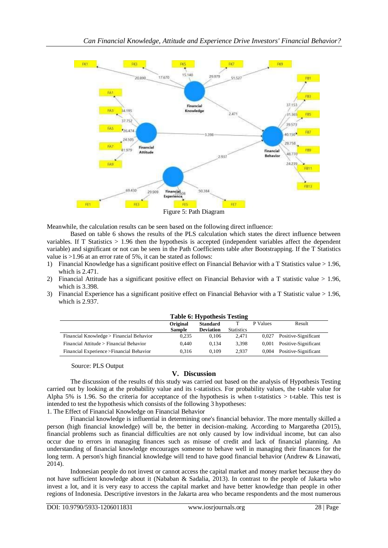

Meanwhile, the calculation results can be seen based on the following direct influence:

Based on table 6 shows the results of the PLS calculation which states the direct influence between variables. If T Statistics > 1.96 then the hypothesis is accepted (independent variables affect the dependent variable) and significant or not can be seen in the Path Coefficients table after Bootstrapping. If the T Statistics value is >1.96 at an error rate of 5%, it can be stated as follows:

- 1) Financial Knowledge has a significant positive effect on Financial Behavior with a T Statistics value > 1.96, which is 2.471.
- 2) Financial Attitude has a significant positive effect on Financial Behavior with a T statistic value > 1.96, which is 3.398.
- 3) Financial Experience has a significant positive effect on Financial Behavior with a T Statistic value > 1.96, which is 2.937.

| <b>Table 6: Hypothesis Testing</b>        |                             |                  |                   |          |                      |
|-------------------------------------------|-----------------------------|------------------|-------------------|----------|----------------------|
|                                           | Original<br><b>Standard</b> |                  |                   | P Values | Result               |
|                                           | <b>Sample</b>               | <b>Deviation</b> | <b>Statistics</b> |          |                      |
| Financial Knowledge > Financial Behavior  | 0.235                       | 0.106            | 2.471             | 0.027    | Positive-Significant |
| Financial Attitude > Financial Behavior   | 0.440                       | 0.134            | 3.398             | 0.001    | Positive-Significant |
| Financial Experience > Financial Behavior | 0.316                       | 0.109            | 2.937             | 0.004    | Positive-Significant |

#### Source: PLS Output

# **V. Discussion**

The discussion of the results of this study was carried out based on the analysis of Hypothesis Testing carried out by looking at the probability value and its t-statistics. For probability values, the t-table value for Alpha 5% is 1.96. So the criteria for acceptance of the hypothesis is when t-statistics  $>$  t-table. This test is intended to test the hypothesis which consists of the following 3 hypotheses:

1. The Effect of Financial Knowledge on Financial Behavior

Financial knowledge is influential in determining one's financial behavior. The more mentally skilled a person (high financial knowledge) will be, the better in decision-making. According to Margaretha (2015), financial problems such as financial difficulties are not only caused by low individual income, but can also occur due to errors in managing finances such as misuse of credit and lack of financial planning. An understanding of financial knowledge encourages someone to behave well in managing their finances for the long term. A person's high financial knowledge will tend to have good financial behavior (Andrew & Linawati, 2014).

Indonesian people do not invest or cannot access the capital market and money market because they do not have sufficient knowledge about it (Nababan & Sadalia, 2013). In contrast to the people of Jakarta who invest a lot, and it is very easy to access the capital market and have better knowledge than people in other regions of Indonesia. Descriptive investors in the Jakarta area who became respondents and the most numerous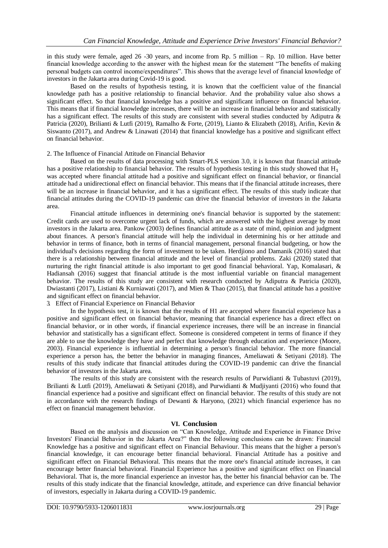in this study were female, aged 26 -30 years, and income from Rp. 5 million – Rp. 10 million. Have better financial knowledge according to the answer with the highest mean for the statement "The benefits of making personal budgets can control income/expenditures". This shows that the average level of financial knowledge of investors in the Jakarta area during Covid-19 is good.

Based on the results of hypothesis testing, it is known that the coefficient value of the financial knowledge path has a positive relationship to financial behavior. And the probability value also shows a significant effect. So that financial knowledge has a positive and significant influence on financial behavior. This means that if financial knowledge increases, there will be an increase in financial behavior and statistically has a significant effect. The results of this study are consistent with several studies conducted by Adiputra & Patricia (2020), Brilianti & Lutfi (2019), Ramalho & Forte, (2019), Lianto & Elizabeth (2018), Arifin, Kevin & Siswanto (2017), and Andrew & Linawati (2014) that financial knowledge has a positive and significant effect on financial behavior.

#### 2. The Influence of Financial Attitude on Financial Behavior

Based on the results of data processing with Smart-PLS version 3.0, it is known that financial attitude has a positive relationship to financial behavior. The results of hypothesis testing in this study showed that  $H_1$ was accepted where financial attitude had a positive and significant effect on financial behavior, or financial attitude had a unidirectional effect on financial behavior. This means that if the financial attitude increases, there will be an increase in financial behavior, and it has a significant effect. The results of this study indicate that financial attitudes during the COVID-19 pandemic can drive the financial behavior of investors in the Jakarta area.

Financial attitude influences in determining one's financial behavior is supported by the statement: Credit cards are used to overcome urgent lack of funds, which are answered with the highest average by most investors in the Jakarta area. Pankow (2003) defines financial attitude as a state of mind, opinion and judgment about finances. A person's financial attitude will help the individual in determining his or her attitude and behavior in terms of finance, both in terms of financial management, personal financial budgeting, or how the individual's decisions regarding the form of investment to be taken. Herdjiono and Damanik (2016) stated that there is a relationship between financial attitude and the level of financial problems. Zaki (2020) stated that nurturing the right financial attitude is also important to get good financial behavioral. Yap, Komalasari, & Hadiansah (2016) suggest that financial attitude is the most influential variable on financial management behavior. The results of this study are consistent with research conducted by Adiputra & Patricia (2020), Dwiastanti (2017), Listiani & Kurniawati (2017), and Mien & Thao (2015), that financial attitude has a positive and significant effect on financial behavior.

3. Effect of Financial Experience on Financial Behavior

In the hypothesis test, it is known that the results of H1 are accepted where financial experience has a positive and significant effect on financial behavior, meaning that financial experience has a direct effect on financial behavior, or in other words, if financial experience increases, there will be an increase in financial behavior and statistically has a significant effect. Someone is considered competent in terms of finance if they are able to use the knowledge they have and perfect that knowledge through education and experience (Moore, 2003). Financial experience is influential in determining a person's financial behavior. The more financial experience a person has, the better the behavior in managing finances, Ameliawati & Setiyani (2018). The results of this study indicate that financial attitudes during the COVID-19 pandemic can drive the financial behavior of investors in the Jakarta area.

The results of this study are consistent with the research results of Purwidianti & Tubastuvi (2019), Brilianti & Lutfi (2019), Ameliawati & Setiyani (2018), and Purwidianti & Mudjiyanti (2016) who found that financial experience had a positive and significant effect on financial behavior. The results of this study are not in accordance with the research findings of Dewanti & Haryono, (2021) which financial experience has no effect on financial management behavior.

#### **VI. Conclusion**

Based on the analysis and discussion on "Can Knowledge, Attitude and Experience in Finance Drive Investors' Financial Behavior in the Jakarta Area?" then the following conclusions can be drawn: Financial Knowledge has a positive and significant effect on Financial Behaviour. This means that the higher a person's financial knowledge, it can encourage better financial behavioral. Financial Attitude has a positive and significant effect on Financial Behavioral. This means that the more one's financial attitude increases, it can encourage better financial behavioral. Financial Experience has a positive and significant effect on Financial Behavioral. That is, the more financial experience an investor has, the better his financial behavior can be. The results of this study indicate that the financial knowledge, attitude, and experience can drive financial behavior of investors, especially in Jakarta during a COVID-19 pandemic.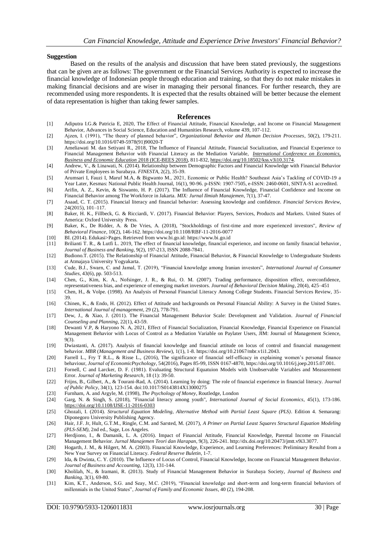#### **Suggestion**

Based on the results of the analysis and discussion that have been stated previously, the suggestions that can be given are as follows: The government or the Financial Services Authority is expected to increase the financial knowledge of Indonesian people through education and training, so that they do not make mistakes in making financial decisions and are wiser in managing their personal finances. For further research, they are recommended using more respondents. It is expected that the results obtained will be better because the element of data representation is higher than taking fewer samples.

#### **References**

- [1] Adiputra I.G.& Patricia E, 2020, The Effect of Financial Attitude, Financial Knowledge, and Income on Financial Management Behavior, Advances in Social Science, Education and Humanities Research, volume 439, 107-112.
- [2] Ajzen, I. (1991), "The theory of planned behavior", *Organizational Behavior and Human Decision Processes*, 50(2), 179-211. https://doi.org/10.1016/0749-5978(91)90020-T
- [3] Ameliawati M. dan Setiyani R., 2018, The Influence of Financial Attitude, Financial Socialization, and Financial Experience to Financial Management Behavior with Financial Literacy as the Mediation Variable, *[International Conference on Economics,](https://knepublishing.com/index.php/KnE-Social/issue/view/119)  [Business and Economic Education](https://knepublishing.com/index.php/KnE-Social/issue/view/119)* 2018 (ICE-BEES 2018), 811-832[, https://doi.org/10.18502/kss.v3i10.3174.](https://doi.org/10.18502/kss.v3i10.3174)
- [4] Andrew, V., & Linawati, N. (2014). Relationship between Demographic Factors and Financial Knowledge with Financial Behavior of Private Employees in Surabaya. *FINESTA*, 2(2), 35-39.
- [5] Arumsari I, Fauzi I, Maruf M.A, & Bigwanto M., 2021, Economic or Public Health? Southeast Asia's Tackling of COVID-19 a Year Later, Kesmas: National Public Health Journal, 16(1), 90-96. p-ISSN: 1907-7505, e-ISSN: 2460-0601, SINTA-S1 accredited.
- [6] Arifin, A. Z., Kevin, & Siswanto, H. P. (2017). The Influence of Financial Knowledge, Financial Confidence and Income on Financial Behavior among The Workforce in Jakarta. *MIX: Jurnal Ilmiah Manajemen*, 7(1), 37-47.
- [7] Asaad, C. T. (2015). Financial literacy and financial behavior: Assessing knowledge and confidence*. Financial Services Review*, 24(2015), 101–117.
- [8] Baker, H. K., Fillbeck, G. & Ricciardi, V. (2017). Financial Behavior: Players, Services, Products and Markets. United States of America: Oxford University Press.
- [9] Baker, K., De Ridder, A. & De Vries, A. (2018), "Stockholdings of first-time and more experienced investors", *Review of Behavioral Finance*, 10(2), 146-162. https://doi.org/10.1108/RBF-11-2016-0077
- [10] BI. (2014). Edukasi>Pages. Retrieved from www.bi.go.id: https://www.bi.go.id
- [11] Brilianti T. R., & Lutfi L. 2019, The effect of financial knowledge, financial experience, and income on family financial behavior, *Journal of Business and Banking*, 9(2), 197-213, ISSN 2088-7841.
- [12] Budiono.T. (2015). The Relationship of Financial Attitude, Financial Behavior, & Financial Knowledge to Undergraduate Students at Atmajaya University Yogyakarta.
- [13] Cude, B.J., Swarn, C. and Jamal, T. (2019), "Financial knowledge among Iranian investors", *International Journal of Consumer Studies*, 43(6), pp. 503-513.
- [14] Chen, G., Kim, K. A., Nofsinger, J. R., & Rui, O. M. (2007). Trading performance, disposition effect, overconfidence,
- representativeness bias, and experience of emerging market investors. *Journal of Behavioral Decision Making*, 20(4), 425–451 [15] Chen, H., & Volpe. (1998). An Analysis of Personal Financial Literacy Among College Students. Financial Services Review, 35- 39.
- [16] Chinen, K., & Endo, H. (2012). Effect of Attitude and backgrounds on Personal Financial Ability: A Survey in the United States. *International Journal of management*, 29 (2), 778-791.
- [17] Dew, J., & Xiao, J. (2011). The Financial Management Behavior Scale: Development and Validation. *Journal of Financial Counseling and Planning*, 22(1), 43-59.
- [18] Dewanti V.P, & Haryono N. A, 2021, Effect of Financial Socialization, Financial Knowledge, Financial Experience on Financial Management Behavior with Locus of Control as a Mediation Variable on Paylater Users, JIM: Journal of Management Science, 9(3).
- [19] Dwiastanti, A. (2017). Analysis of financial knowledge and financial attitude on locus of control and financial management behavior. *MBR* (*Management and Business Review*), 1(1), 1-8. https://doi.org/10.21067/mbr.v1i1.2043.
- [20] Farrell L., Fry T R.L., & Risse L., (2016), The significance of financial self-efficacy in explaining women's personal finance behaviour, *Journal of EconomicPsychology*, 54(2016), Pages 85-99, ISSN 0167-4870, https://doi.org/10.1016/j.joep.2015.07.001.
- [21] Fornell, C and Larcker, D. F. (1981). Evaluating Structural Equatuion Models with Unobservable Variables and Measurement Error. *Journal of Marketing Research*, 18 (1): 39-50.
- [22] Frijns, B., Gilbert, A., & Tourani-Rad, A. (2014). Learning by doing: The role of financial experience in financial literacy. *Journal of Public Policy*, 34(1), 123-154. doi:10.1017/S0143814X13000275
- [23] Furnham, A. and Argyle, M. (1998), *The Psychology of Money*, Routledge, London
- [24] Garg, N. & Singh, S. (2018), "Financial literacy among youth", *International Journal of Social Economics*, 45(1), 173-186. <https://doi.org/10.1108/IJSE-11-2016-0303>
- [25] Ghozali, I. (2014). *Structural Equation Modeling, Alternative Method with Partial Least Square (PLS)*. Edition 4. Semarang: Diponegoro University Publishing Agency.
- [26] Hair, J.F. Jr, Hult, G.T.M., Ringle, C.M. and Sarsted, M. (2017), *A Primer on Partial Least Squares Structural Equation Modeling (PLS-SEM)*, 2nd ed., Sage, Los Angeles.
- [27] Herdjiono, I., & Damanik, L. A. (2016). Impact of Financial Attitude, Financial Knowledge, Parental Income on Financial Management Behavior*. Jurnal Manajemen Teori dan Harapan*, 9(3), 226-241. http://dx.doi.org/10.20473/jmtt.v9i3.3077.
- [28] Hogarth, J. M., & Hilgert, M. A. (2003). Financial Knowledge, Experience, and Learning Preferences: Preliminary Resultd from a New Year Survey on Financial Literacy. *Federal Reserve Buletin*, 1-7.
- [29] Ida, & Dwinta, C. Y. (2010). The Influence of Locus of Control, Financial Knowledge, Income on Financial Management Behavior. *Journal of Business and Accounting*, 12(3), 131-144.
- [30] Kholilah, N., & Iramani, R. (2013). Study of Financial Management Behavior in Surabaya Society, *Journal of Business and Banking*, 3(1), 69-80.
- [31] Kim, K.T., Anderson, S.G. and Seay, M.C. (2019), "Financial knowledge and short-term and long-term financial behaviors of millennials in the United States", *Journal of Family and Economic Issues*, 40 (2), 194-208.